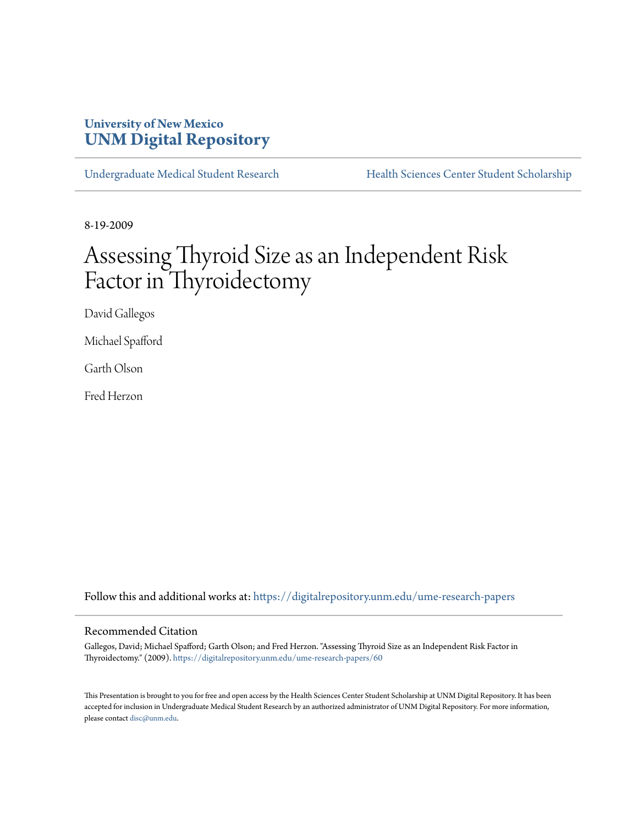## **University of New Mexico [UNM Digital Repository](https://digitalrepository.unm.edu?utm_source=digitalrepository.unm.edu%2Fume-research-papers%2F60&utm_medium=PDF&utm_campaign=PDFCoverPages)**

[Undergraduate Medical Student Research](https://digitalrepository.unm.edu/ume-research-papers?utm_source=digitalrepository.unm.edu%2Fume-research-papers%2F60&utm_medium=PDF&utm_campaign=PDFCoverPages) [Health Sciences Center Student Scholarship](https://digitalrepository.unm.edu/hsc-students?utm_source=digitalrepository.unm.edu%2Fume-research-papers%2F60&utm_medium=PDF&utm_campaign=PDFCoverPages)

8-19-2009

# Assessing Thyroid Size as an Independent Risk Factor in Thyroidectomy

David Gallegos

Michael Spafford

Garth Olson

Fred Herzon

Follow this and additional works at: [https://digitalrepository.unm.edu/ume-research-papers](https://digitalrepository.unm.edu/ume-research-papers?utm_source=digitalrepository.unm.edu%2Fume-research-papers%2F60&utm_medium=PDF&utm_campaign=PDFCoverPages)

#### Recommended Citation

Gallegos, David; Michael Spafford; Garth Olson; and Fred Herzon. "Assessing Thyroid Size as an Independent Risk Factor in Thyroidectomy." (2009). [https://digitalrepository.unm.edu/ume-research-papers/60](https://digitalrepository.unm.edu/ume-research-papers/60?utm_source=digitalrepository.unm.edu%2Fume-research-papers%2F60&utm_medium=PDF&utm_campaign=PDFCoverPages)

This Presentation is brought to you for free and open access by the Health Sciences Center Student Scholarship at UNM Digital Repository. It has been accepted for inclusion in Undergraduate Medical Student Research by an authorized administrator of UNM Digital Repository. For more information, please contact [disc@unm.edu.](mailto:disc@unm.edu)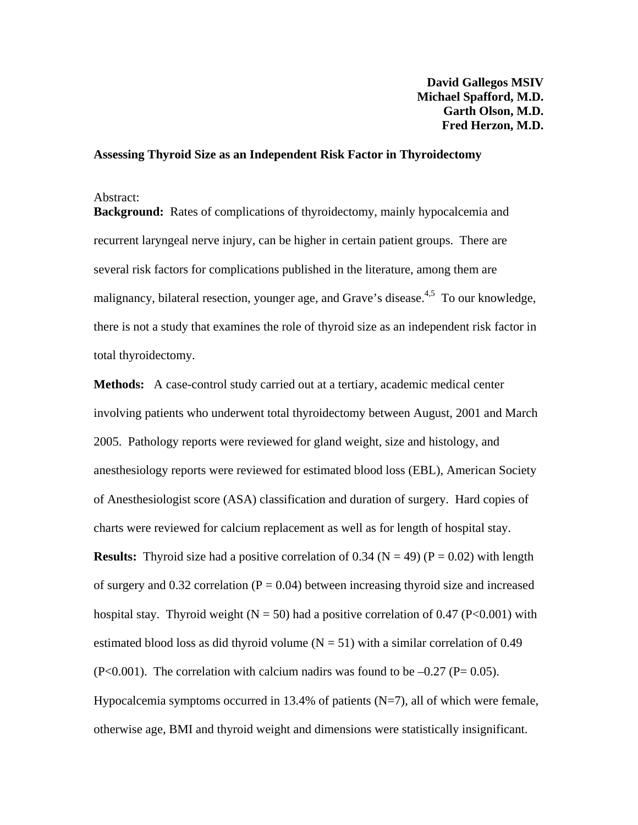#### **Assessing Thyroid Size as an Independent Risk Factor in Thyroidectomy**

#### Abstract:

**Background:** Rates of complications of thyroidectomy, mainly hypocalcemia and recurrent laryngeal nerve injury, can be higher in certain patient groups. There are several risk factors for complications published in the literature, among them are malignancy, bilateral resection, younger age, and Grave's disease.<sup>4,5</sup> To our knowledge, there is not a study that examines the role of thyroid size as an independent risk factor in total thyroidectomy.

**Methods:** A case-control study carried out at a tertiary, academic medical center involving patients who underwent total thyroidectomy between August, 2001 and March 2005. Pathology reports were reviewed for gland weight, size and histology, and anesthesiology reports were reviewed for estimated blood loss (EBL), American Society of Anesthesiologist score (ASA) classification and duration of surgery. Hard copies of charts were reviewed for calcium replacement as well as for length of hospital stay. **Results:** Thyroid size had a positive correlation of 0.34 ( $N = 49$ ) ( $P = 0.02$ ) with length of surgery and  $0.32$  correlation ( $P = 0.04$ ) between increasing thyroid size and increased hospital stay. Thyroid weight ( $N = 50$ ) had a positive correlation of 0.47 ( $P < 0.001$ ) with estimated blood loss as did thyroid volume  $(N = 51)$  with a similar correlation of 0.49  $(P<0.001)$ . The correlation with calcium nadirs was found to be  $-0.27$  (P= 0.05). Hypocalcemia symptoms occurred in 13.4% of patients  $(N=7)$ , all of which were female, otherwise age, BMI and thyroid weight and dimensions were statistically insignificant.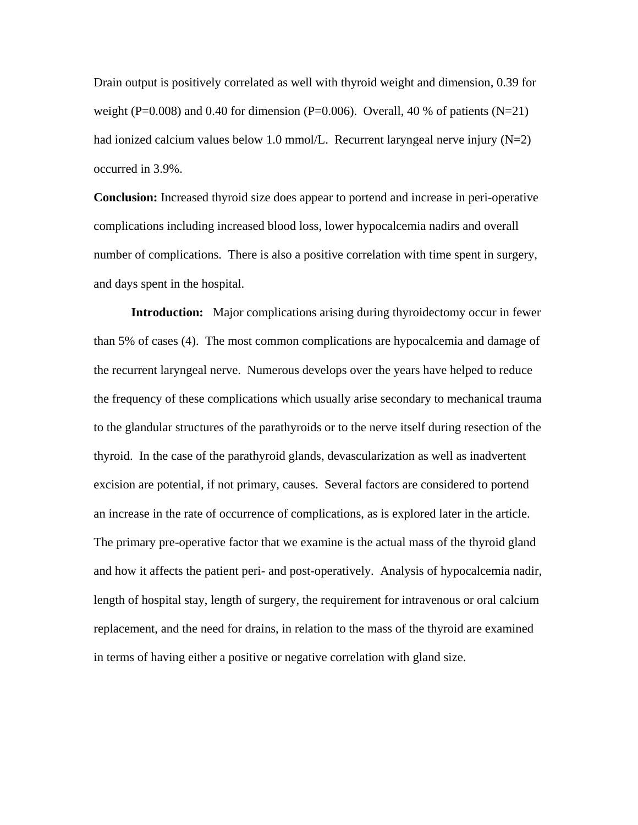Drain output is positively correlated as well with thyroid weight and dimension, 0.39 for weight (P=0.008) and 0.40 for dimension (P=0.006). Overall, 40 % of patients (N=21) had ionized calcium values below 1.0 mmol/L. Recurrent laryngeal nerve injury (N=2) occurred in 3.9%.

**Conclusion:** Increased thyroid size does appear to portend and increase in peri-operative complications including increased blood loss, lower hypocalcemia nadirs and overall number of complications. There is also a positive correlation with time spent in surgery, and days spent in the hospital.

**Introduction:** Major complications arising during thyroidectomy occur in fewer than 5% of cases (4). The most common complications are hypocalcemia and damage of the recurrent laryngeal nerve. Numerous develops over the years have helped to reduce the frequency of these complications which usually arise secondary to mechanical trauma to the glandular structures of the parathyroids or to the nerve itself during resection of the thyroid. In the case of the parathyroid glands, devascularization as well as inadvertent excision are potential, if not primary, causes. Several factors are considered to portend an increase in the rate of occurrence of complications, as is explored later in the article. The primary pre-operative factor that we examine is the actual mass of the thyroid gland and how it affects the patient peri- and post-operatively. Analysis of hypocalcemia nadir, length of hospital stay, length of surgery, the requirement for intravenous or oral calcium replacement, and the need for drains, in relation to the mass of the thyroid are examined in terms of having either a positive or negative correlation with gland size.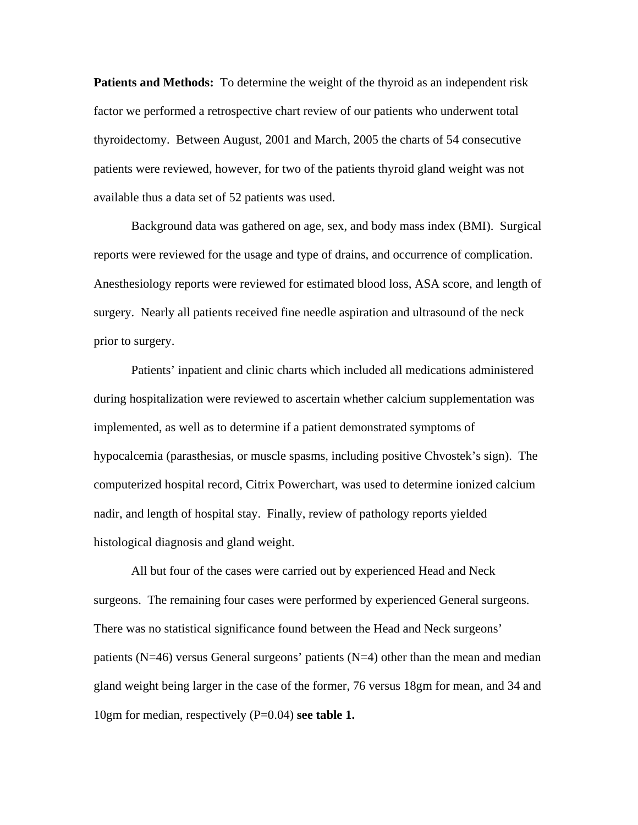**Patients and Methods:** To determine the weight of the thyroid as an independent risk factor we performed a retrospective chart review of our patients who underwent total thyroidectomy. Between August, 2001 and March, 2005 the charts of 54 consecutive patients were reviewed, however, for two of the patients thyroid gland weight was not available thus a data set of 52 patients was used.

 Background data was gathered on age, sex, and body mass index (BMI). Surgical reports were reviewed for the usage and type of drains, and occurrence of complication. Anesthesiology reports were reviewed for estimated blood loss, ASA score, and length of surgery. Nearly all patients received fine needle aspiration and ultrasound of the neck prior to surgery.

Patients' inpatient and clinic charts which included all medications administered during hospitalization were reviewed to ascertain whether calcium supplementation was implemented, as well as to determine if a patient demonstrated symptoms of hypocalcemia (parasthesias, or muscle spasms, including positive Chvostek's sign). The computerized hospital record, Citrix Powerchart, was used to determine ionized calcium nadir, and length of hospital stay. Finally, review of pathology reports yielded histological diagnosis and gland weight.

 All but four of the cases were carried out by experienced Head and Neck surgeons. The remaining four cases were performed by experienced General surgeons. There was no statistical significance found between the Head and Neck surgeons' patients ( $N=46$ ) versus General surgeons' patients ( $N=4$ ) other than the mean and median gland weight being larger in the case of the former, 76 versus 18gm for mean, and 34 and 10gm for median, respectively (P=0.04) **see table 1.**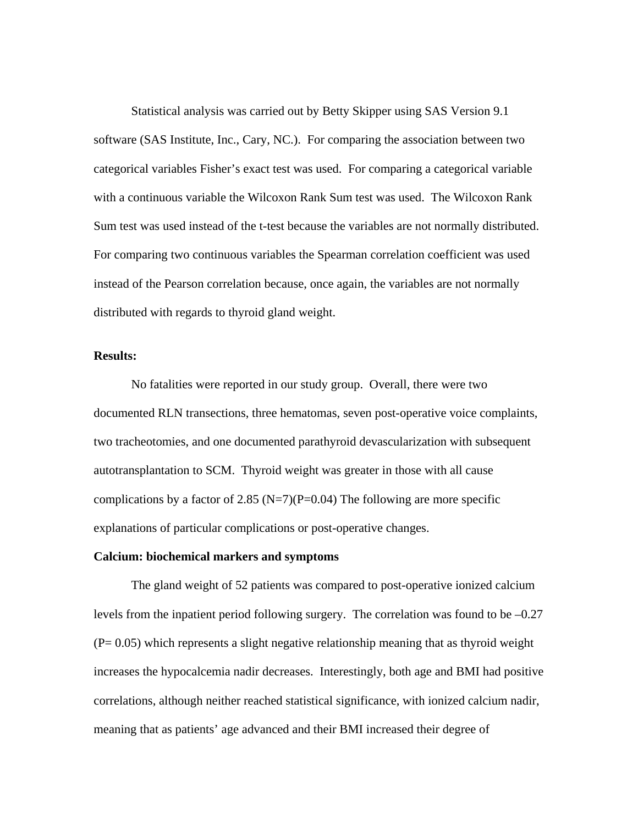Statistical analysis was carried out by Betty Skipper using SAS Version 9.1 software (SAS Institute, Inc., Cary, NC.). For comparing the association between two categorical variables Fisher's exact test was used. For comparing a categorical variable with a continuous variable the Wilcoxon Rank Sum test was used. The Wilcoxon Rank Sum test was used instead of the t-test because the variables are not normally distributed. For comparing two continuous variables the Spearman correlation coefficient was used instead of the Pearson correlation because, once again, the variables are not normally distributed with regards to thyroid gland weight.

#### **Results:**

No fatalities were reported in our study group. Overall, there were two documented RLN transections, three hematomas, seven post-operative voice complaints, two tracheotomies, and one documented parathyroid devascularization with subsequent autotransplantation to SCM. Thyroid weight was greater in those with all cause complications by a factor of 2.85 (N=7)(P=0.04) The following are more specific explanations of particular complications or post-operative changes.

#### **Calcium: biochemical markers and symptoms**

The gland weight of 52 patients was compared to post-operative ionized calcium levels from the inpatient period following surgery. The correlation was found to be –0.27 (P= 0.05) which represents a slight negative relationship meaning that as thyroid weight increases the hypocalcemia nadir decreases. Interestingly, both age and BMI had positive correlations, although neither reached statistical significance, with ionized calcium nadir, meaning that as patients' age advanced and their BMI increased their degree of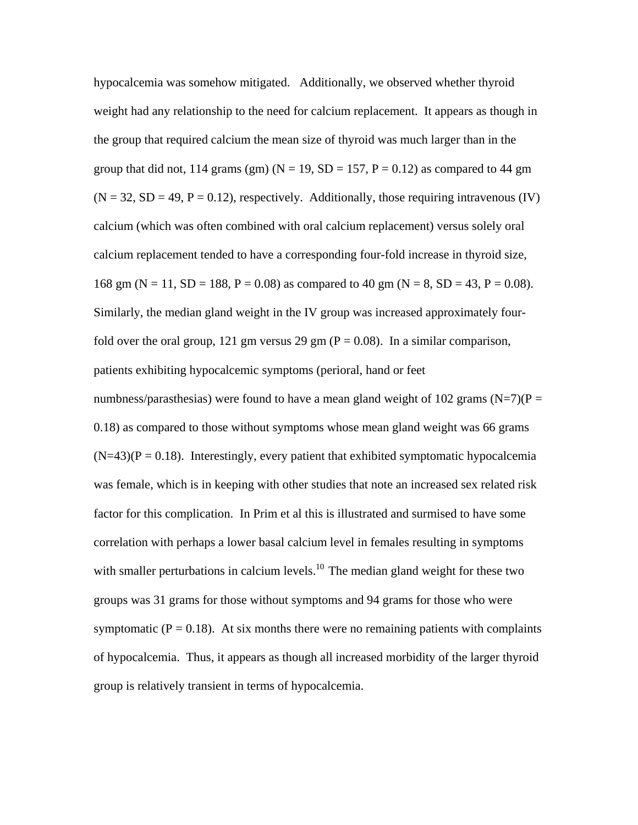hypocalcemia was somehow mitigated. Additionally, we observed whether thyroid weight had any relationship to the need for calcium replacement. It appears as though in the group that required calcium the mean size of thyroid was much larger than in the group that did not, 114 grams (gm) ( $N = 19$ ,  $SD = 157$ ,  $P = 0.12$ ) as compared to 44 gm  $(N = 32, SD = 49, P = 0.12)$ , respectively. Additionally, those requiring intravenous (IV) calcium (which was often combined with oral calcium replacement) versus solely oral calcium replacement tended to have a corresponding four-fold increase in thyroid size, 168 gm (N = 11, SD = 188, P = 0.08) as compared to 40 gm (N = 8, SD = 43, P = 0.08). Similarly, the median gland weight in the IV group was increased approximately fourfold over the oral group, 121 gm versus 29 gm ( $P = 0.08$ ). In a similar comparison, patients exhibiting hypocalcemic symptoms (perioral, hand or feet

numbness/parasthesias) were found to have a mean gland weight of 102 grams (N=7)(P = 0.18) as compared to those without symptoms whose mean gland weight was 66 grams  $(N=43)(P = 0.18)$ . Interestingly, every patient that exhibited symptomatic hypocalcemia was female, which is in keeping with other studies that note an increased sex related risk factor for this complication. In Prim et al this is illustrated and surmised to have some correlation with perhaps a lower basal calcium level in females resulting in symptoms with smaller perturbations in calcium levels.<sup>10</sup> The median gland weight for these two groups was 31 grams for those without symptoms and 94 grams for those who were symptomatic ( $P = 0.18$ ). At six months there were no remaining patients with complaints of hypocalcemia. Thus, it appears as though all increased morbidity of the larger thyroid group is relatively transient in terms of hypocalcemia.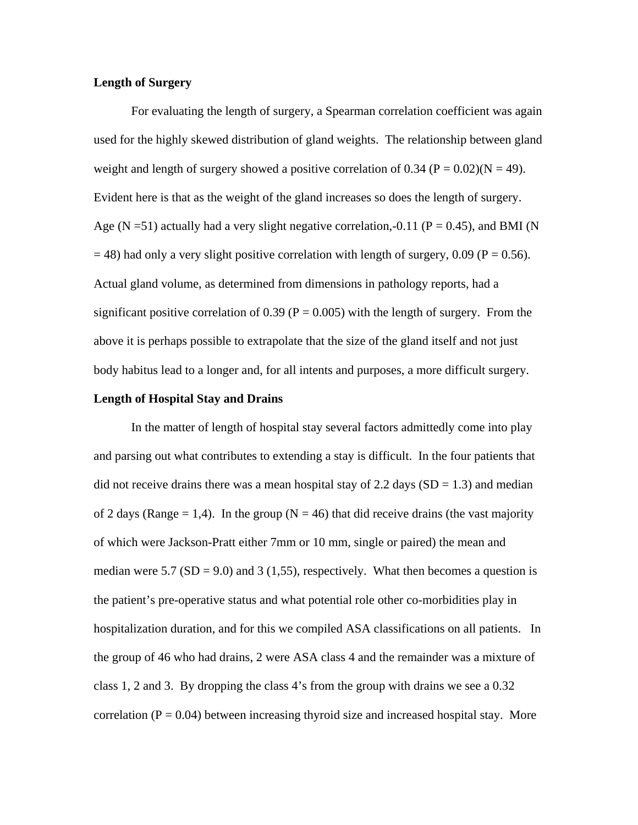#### **Length of Surgery**

For evaluating the length of surgery, a Spearman correlation coefficient was again used for the highly skewed distribution of gland weights. The relationship between gland weight and length of surgery showed a positive correlation of 0.34 ( $P = 0.02$ )( $N = 49$ ). Evident here is that as the weight of the gland increases so does the length of surgery. Age (N = 51) actually had a very slight negative correlation,-0.11 (P = 0.45), and BMI (N  $=$  48) had only a very slight positive correlation with length of surgery, 0.09 (P = 0.56). Actual gland volume, as determined from dimensions in pathology reports, had a significant positive correlation of 0.39 ( $P = 0.005$ ) with the length of surgery. From the above it is perhaps possible to extrapolate that the size of the gland itself and not just body habitus lead to a longer and, for all intents and purposes, a more difficult surgery.

#### **Length of Hospital Stay and Drains**

 In the matter of length of hospital stay several factors admittedly come into play and parsing out what contributes to extending a stay is difficult. In the four patients that did not receive drains there was a mean hospital stay of 2.2 days  $(SD = 1.3)$  and median of 2 days (Range = 1,4). In the group ( $N = 46$ ) that did receive drains (the vast majority of which were Jackson-Pratt either 7mm or 10 mm, single or paired) the mean and median were 5.7 (SD = 9.0) and 3 (1,55), respectively. What then becomes a question is the patient's pre-operative status and what potential role other co-morbidities play in hospitalization duration, and for this we compiled ASA classifications on all patients. In the group of 46 who had drains, 2 were ASA class 4 and the remainder was a mixture of class 1, 2 and 3. By dropping the class 4's from the group with drains we see a 0.32 correlation ( $P = 0.04$ ) between increasing thyroid size and increased hospital stay. More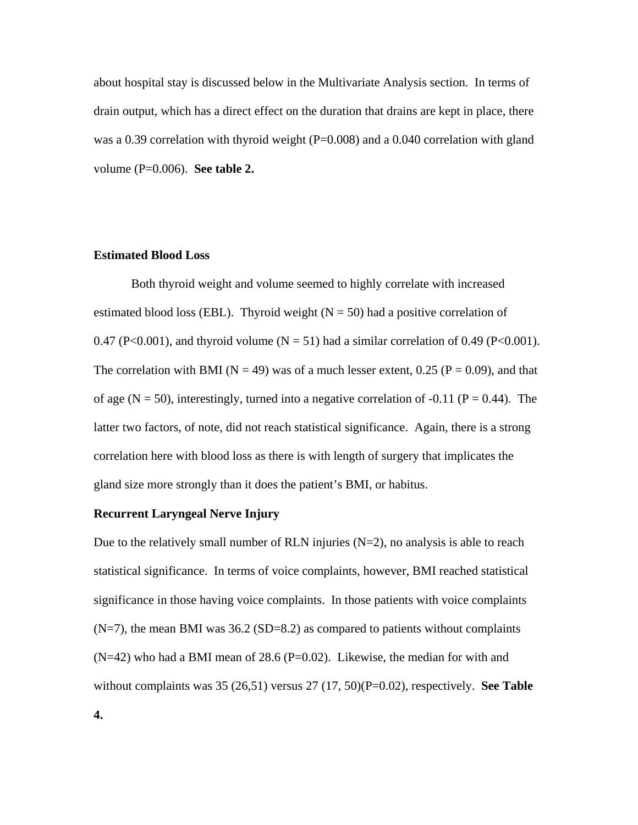about hospital stay is discussed below in the Multivariate Analysis section. In terms of drain output, which has a direct effect on the duration that drains are kept in place, there was a 0.39 correlation with thyroid weight  $(P=0.008)$  and a 0.040 correlation with gland volume (P=0.006). **See table 2.** 

#### **Estimated Blood Loss**

Both thyroid weight and volume seemed to highly correlate with increased estimated blood loss (EBL). Thyroid weight ( $N = 50$ ) had a positive correlation of 0.47 (P<0.001), and thyroid volume ( $N = 51$ ) had a similar correlation of 0.49 (P<0.001). The correlation with BMI ( $N = 49$ ) was of a much lesser extent, 0.25 ( $P = 0.09$ ), and that of age (N = 50), interestingly, turned into a negative correlation of -0.11 (P = 0.44). The latter two factors, of note, did not reach statistical significance. Again, there is a strong correlation here with blood loss as there is with length of surgery that implicates the gland size more strongly than it does the patient's BMI, or habitus.

#### **Recurrent Laryngeal Nerve Injury**

Due to the relatively small number of RLN injuries  $(N=2)$ , no analysis is able to reach statistical significance. In terms of voice complaints, however, BMI reached statistical significance in those having voice complaints. In those patients with voice complaints  $(N=7)$ , the mean BMI was 36.2 (SD=8.2) as compared to patients without complaints  $(N=42)$  who had a BMI mean of 28.6 (P=0.02). Likewise, the median for with and without complaints was 35 (26,51) versus 27 (17, 50)(P=0.02), respectively. **See Table**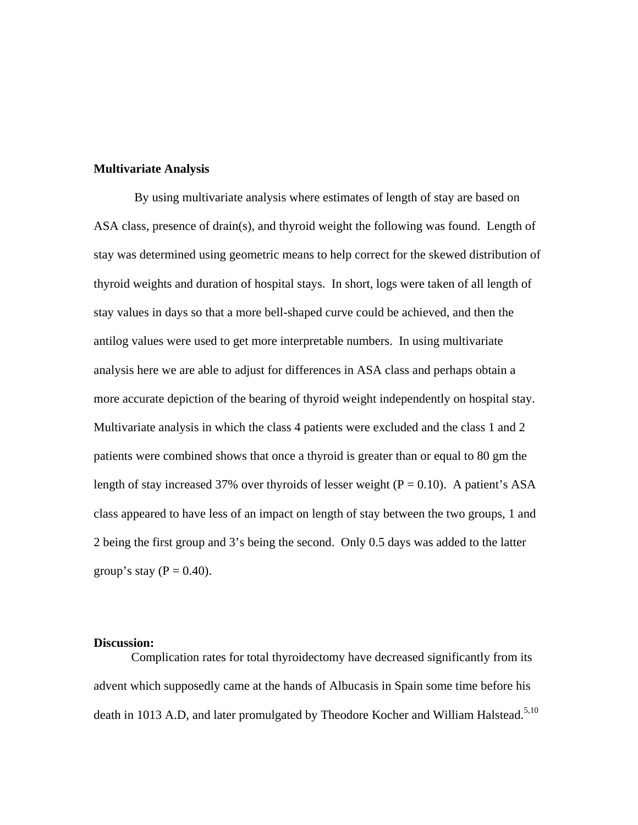#### **Multivariate Analysis**

 By using multivariate analysis where estimates of length of stay are based on ASA class, presence of drain(s), and thyroid weight the following was found. Length of stay was determined using geometric means to help correct for the skewed distribution of thyroid weights and duration of hospital stays. In short, logs were taken of all length of stay values in days so that a more bell-shaped curve could be achieved, and then the antilog values were used to get more interpretable numbers. In using multivariate analysis here we are able to adjust for differences in ASA class and perhaps obtain a more accurate depiction of the bearing of thyroid weight independently on hospital stay. Multivariate analysis in which the class 4 patients were excluded and the class 1 and 2 patients were combined shows that once a thyroid is greater than or equal to 80 gm the length of stay increased 37% over thyroids of lesser weight ( $P = 0.10$ ). A patient's ASA class appeared to have less of an impact on length of stay between the two groups, 1 and 2 being the first group and 3's being the second. Only 0.5 days was added to the latter group's stay ( $P = 0.40$ ).

#### **Discussion:**

 Complication rates for total thyroidectomy have decreased significantly from its advent which supposedly came at the hands of Albucasis in Spain some time before his death in 1013 A.D, and later promulgated by Theodore Kocher and William Halstead.<sup>5,10</sup>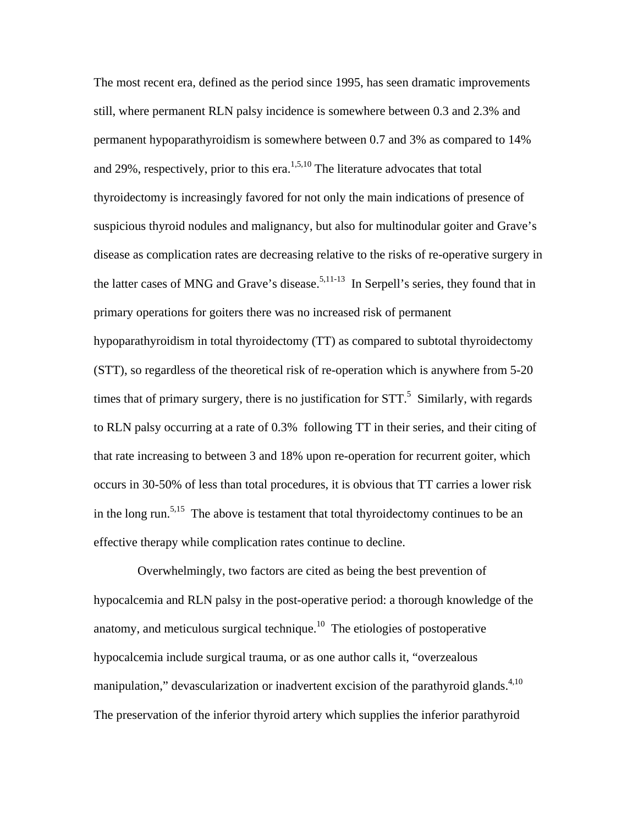The most recent era, defined as the period since 1995, has seen dramatic improvements still, where permanent RLN palsy incidence is somewhere between 0.3 and 2.3% and permanent hypoparathyroidism is somewhere between 0.7 and 3% as compared to 14% and 29%, respectively, prior to this era.<sup>1,5,10</sup> The literature advocates that total thyroidectomy is increasingly favored for not only the main indications of presence of suspicious thyroid nodules and malignancy, but also for multinodular goiter and Grave's disease as complication rates are decreasing relative to the risks of re-operative surgery in the latter cases of MNG and Grave's disease.<sup>5,11-13</sup> In Serpell's series, they found that in primary operations for goiters there was no increased risk of permanent hypoparathyroidism in total thyroidectomy (TT) as compared to subtotal thyroidectomy (STT), so regardless of the theoretical risk of re-operation which is anywhere from 5-20 times that of primary surgery, there is no justification for  $STT$ .<sup>5</sup> Similarly, with regards to RLN palsy occurring at a rate of 0.3% following TT in their series, and their citing of that rate increasing to between 3 and 18% upon re-operation for recurrent goiter, which occurs in 30-50% of less than total procedures, it is obvious that TT carries a lower risk in the long run.<sup>5,15</sup> The above is testament that total thyroidectomy continues to be an effective therapy while complication rates continue to decline.

 Overwhelmingly, two factors are cited as being the best prevention of hypocalcemia and RLN palsy in the post-operative period: a thorough knowledge of the anatomy, and meticulous surgical technique. $10$  The etiologies of postoperative hypocalcemia include surgical trauma, or as one author calls it, "overzealous manipulation," devascularization or inadvertent excision of the parathyroid glands. $4,10$ The preservation of the inferior thyroid artery which supplies the inferior parathyroid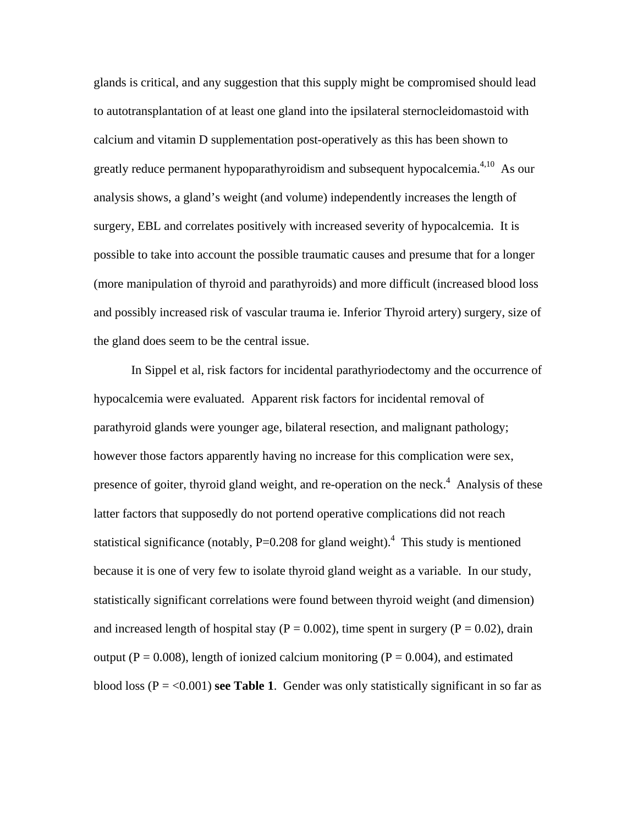glands is critical, and any suggestion that this supply might be compromised should lead to autotransplantation of at least one gland into the ipsilateral sternocleidomastoid with calcium and vitamin D supplementation post-operatively as this has been shown to greatly reduce permanent hypoparathyroidism and subsequent hypocalcemia.<sup>4,10</sup> As our analysis shows, a gland's weight (and volume) independently increases the length of surgery, EBL and correlates positively with increased severity of hypocalcemia. It is possible to take into account the possible traumatic causes and presume that for a longer (more manipulation of thyroid and parathyroids) and more difficult (increased blood loss and possibly increased risk of vascular trauma ie. Inferior Thyroid artery) surgery, size of the gland does seem to be the central issue.

 In Sippel et al, risk factors for incidental parathyriodectomy and the occurrence of hypocalcemia were evaluated. Apparent risk factors for incidental removal of parathyroid glands were younger age, bilateral resection, and malignant pathology; however those factors apparently having no increase for this complication were sex, presence of goiter, thyroid gland weight, and re-operation on the neck.<sup>4</sup> Analysis of these latter factors that supposedly do not portend operative complications did not reach statistical significance (notably,  $P=0.208$  for gland weight).<sup>4</sup> This study is mentioned because it is one of very few to isolate thyroid gland weight as a variable. In our study, statistically significant correlations were found between thyroid weight (and dimension) and increased length of hospital stay ( $P = 0.002$ ), time spent in surgery ( $P = 0.02$ ), drain output ( $P = 0.008$ ), length of ionized calcium monitoring ( $P = 0.004$ ), and estimated blood loss ( $P = <0.001$ ) **see Table 1**. Gender was only statistically significant in so far as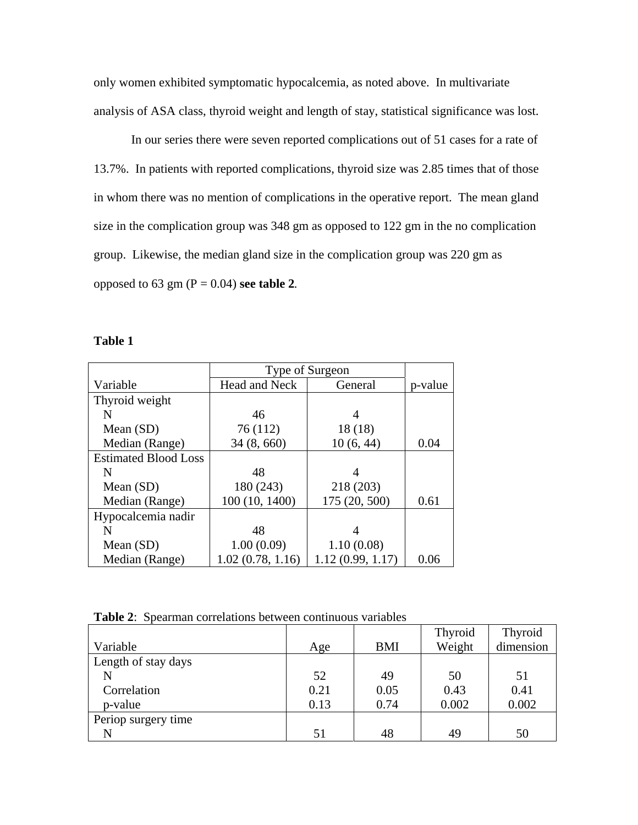only women exhibited symptomatic hypocalcemia, as noted above. In multivariate analysis of ASA class, thyroid weight and length of stay, statistical significance was lost.

In our series there were seven reported complications out of 51 cases for a rate of 13.7%. In patients with reported complications, thyroid size was 2.85 times that of those in whom there was no mention of complications in the operative report. The mean gland size in the complication group was 348 gm as opposed to 122 gm in the no complication group. Likewise, the median gland size in the complication group was 220 gm as opposed to 63 gm (P = 0.04) **see table 2***.* 

#### **Table 1**

|                             | Type of Surgeon  |                  |         |
|-----------------------------|------------------|------------------|---------|
| Variable                    | Head and Neck    | General          | p-value |
| Thyroid weight              |                  |                  |         |
| N                           | 46               |                  |         |
| Mean $(SD)$                 | 76 (112)         | 18(18)           |         |
| Median (Range)              | 34(8,660)        | 10(6, 44)        | 0.04    |
| <b>Estimated Blood Loss</b> |                  |                  |         |
| N                           | 48               |                  |         |
| Mean $(SD)$                 | 180 (243)        | 218 (203)        |         |
| Median (Range)              | 100 (10, 1400)   | 175 (20, 500)    | 0.61    |
| Hypocalcemia nadir          |                  |                  |         |
| N                           | 48               | 4                |         |
| Mean $(SD)$                 | 1.00(0.09)       | 1.10(0.08)       |         |
| Median (Range)              | 1.02(0.78, 1.16) | 1.12(0.99, 1.17) | 0.06    |

**Table 2**: Spearman correlations between continuous variables

|                     |      |      | Thyroid | <b>Thyroid</b> |
|---------------------|------|------|---------|----------------|
| Variable            | Age  | BMI  | Weight  | dimension      |
| Length of stay days |      |      |         |                |
|                     | 52   | 49   | 50      | 51             |
| Correlation         | 0.21 | 0.05 | 0.43    | 0.41           |
| p-value             | 0.13 | 0.74 | 0.002   | 0.002          |
| Periop surgery time |      |      |         |                |
| N                   | 51   | 48   | 49      | 50             |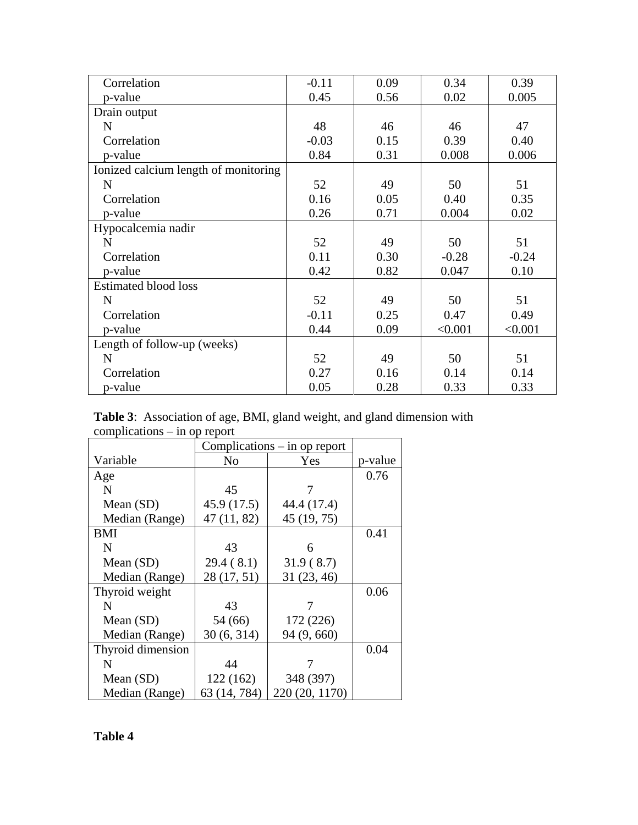| Correlation                          | $-0.11$ | 0.09 | 0.34    | 0.39    |
|--------------------------------------|---------|------|---------|---------|
| p-value                              | 0.45    | 0.56 | 0.02    | 0.005   |
| Drain output                         |         |      |         |         |
| $\mathbf N$                          | 48      | 46   | 46      | 47      |
| Correlation                          | $-0.03$ | 0.15 | 0.39    | 0.40    |
| p-value                              | 0.84    | 0.31 | 0.008   | 0.006   |
| Ionized calcium length of monitoring |         |      |         |         |
| N                                    | 52      | 49   | 50      | 51      |
| Correlation                          | 0.16    | 0.05 | 0.40    | 0.35    |
| p-value                              | 0.26    | 0.71 | 0.004   | 0.02    |
| Hypocalcemia nadir                   |         |      |         |         |
| N                                    | 52      | 49   | 50      | 51      |
| Correlation                          | 0.11    | 0.30 | $-0.28$ | $-0.24$ |
| p-value                              | 0.42    | 0.82 | 0.047   | 0.10    |
| <b>Estimated blood loss</b>          |         |      |         |         |
| N                                    | 52      | 49   | 50      | 51      |
| Correlation                          | $-0.11$ | 0.25 | 0.47    | 0.49    |
| p-value                              | 0.44    | 0.09 | < 0.001 | < 0.001 |
| Length of follow-up (weeks)          |         |      |         |         |
| $\mathbf N$                          | 52      | 49   | 50      | 51      |
| Correlation                          | 0.27    | 0.16 | 0.14    | 0.14    |
| p-value                              | 0.05    | 0.28 | 0.33    | 0.33    |

**Table 3**: Association of age, BMI, gland weight, and gland dimension with complications – in op report

|                   | Complications $-$ in op report |                |         |
|-------------------|--------------------------------|----------------|---------|
| Variable          | No                             | Yes            | p-value |
| Age               |                                |                | 0.76    |
| N                 | 45                             |                |         |
| Mean (SD)         | 45.9(17.5)                     | 44.4 (17.4)    |         |
| Median (Range)    | 47(11, 82)                     | 45 (19, 75)    |         |
| BMI               |                                |                | 0.41    |
| N                 | 43                             | 6              |         |
| Mean (SD)         | 29.4(8.1)                      | 31.9(8.7)      |         |
| Median (Range)    | 28 (17, 51)                    | 31(23, 46)     |         |
| Thyroid weight    |                                |                | 0.06    |
| N                 | 43                             |                |         |
| Mean (SD)         | 54 (66)                        | 172 (226)      |         |
| Median (Range)    | 30(6, 314)                     | 94 (9, 660)    |         |
| Thyroid dimension |                                |                | 0.04    |
| N                 | 44                             |                |         |
| Mean (SD)         | 122 (162)                      | 348 (397)      |         |
| Median (Range)    | 63 (14, 784)                   | 220 (20, 1170) |         |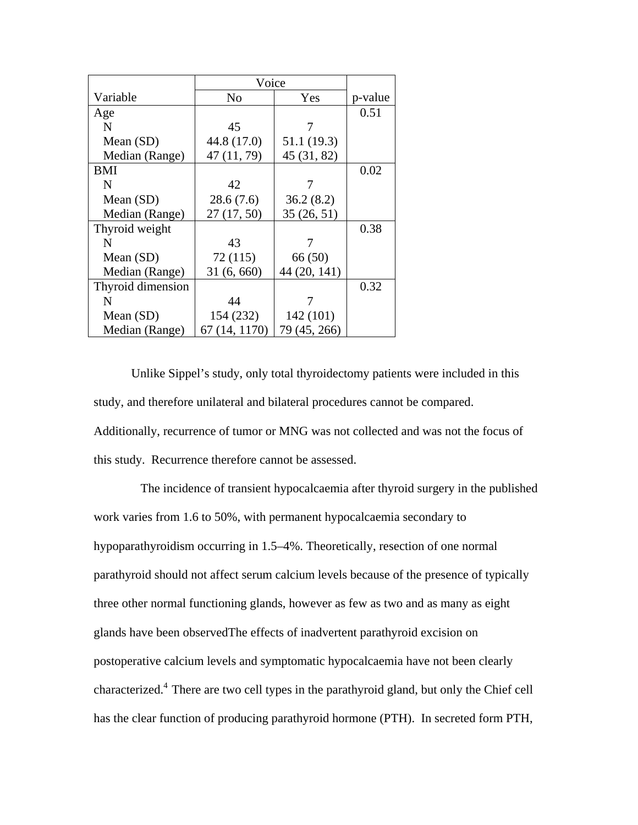|                   | Voice          |              |         |
|-------------------|----------------|--------------|---------|
| Variable          | N <sub>0</sub> | Yes          | p-value |
| Age               |                |              | 0.51    |
| N                 | 45             | 7            |         |
| Mean $(SD)$       | 44.8 (17.0)    | 51.1 (19.3)  |         |
| Median (Range)    | 47 (11, 79)    | 45 (31, 82)  |         |
| BMI               |                |              | 0.02    |
| N                 | 42             |              |         |
| Mean (SD)         | 28.6(7.6)      | 36.2(8.2)    |         |
| Median (Range)    | 27(17, 50)     | 35(26, 51)   |         |
| Thyroid weight    |                |              | 0.38    |
| N                 | 43             |              |         |
| Mean $(SD)$       | 72(115)        | 66 (50)      |         |
| Median (Range)    | 31(6, 660)     | 44 (20, 141) |         |
| Thyroid dimension |                |              | 0.32    |
| N                 | 44             |              |         |
| Mean $(SD)$       | 154 (232)      | 142 (101)    |         |
| Median (Range)    | 67 (14, 1170)  | 79 (45, 266) |         |

Unlike Sippel's study, only total thyroidectomy patients were included in this study, and therefore unilateral and bilateral procedures cannot be compared. Additionally, recurrence of tumor or MNG was not collected and was not the focus of this study. Recurrence therefore cannot be assessed.

 The incidence of transient hypocalcaemia after thyroid surgery in the published work varies from 1.6 to 50%, with permanent hypocalcaemia secondary to hypoparathyroidism occurring in 1.5–4%. Theoretically, resection of one normal parathyroid should not affect serum calcium levels because of the presence of typically three other normal functioning glands, however as few as two and as many as eight glands have been observedThe effects of inadvertent parathyroid excision on postoperative calcium levels and symptomatic hypocalcaemia have not been clearly characterized.4 There are two cell types in the parathyroid gland, but only the Chief cell has the clear function of producing parathyroid hormone (PTH). In secreted form PTH,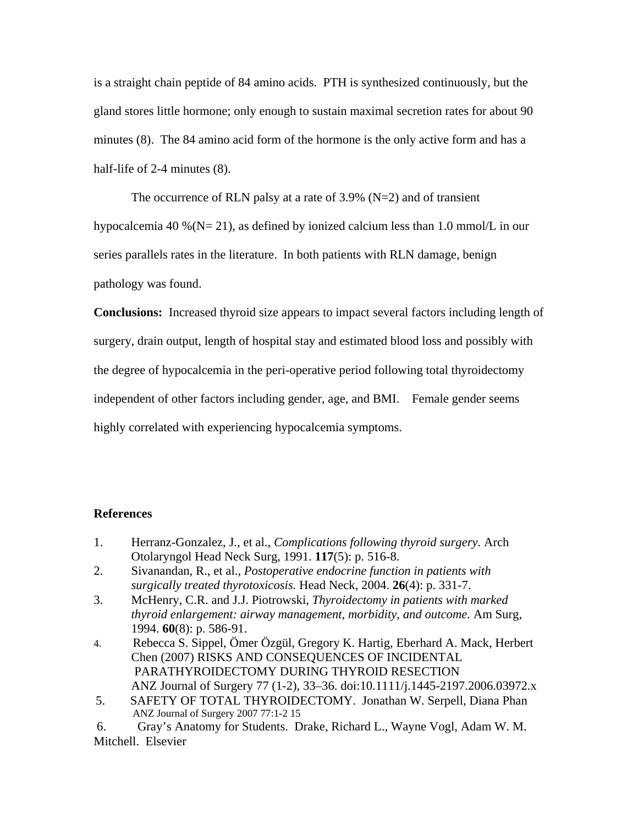is a straight chain peptide of 84 amino acids. PTH is synthesized continuously, but the gland stores little hormone; only enough to sustain maximal secretion rates for about 90 minutes (8). The 84 amino acid form of the hormone is the only active form and has a half-life of 2-4 minutes (8).

The occurrence of RLN palsy at a rate of 3.9%  $(N=2)$  and of transient hypocalcemia 40 % ( $N= 21$ ), as defined by ionized calcium less than 1.0 mmol/L in our series parallels rates in the literature. In both patients with RLN damage, benign pathology was found.

**Conclusions:** Increased thyroid size appears to impact several factors including length of surgery, drain output, length of hospital stay and estimated blood loss and possibly with the degree of hypocalcemia in the peri-operative period following total thyroidectomy independent of other factors including gender, age, and BMI. Female gender seems highly correlated with experiencing hypocalcemia symptoms.

### **References**

- 1. Herranz-Gonzalez, J., et al., *Complications following thyroid surgery.* Arch Otolaryngol Head Neck Surg, 1991. **117**(5): p. 516-8.
- 2. Sivanandan, R., et al., *Postoperative endocrine function in patients with surgically treated thyrotoxicosis.* Head Neck, 2004. **26**(4): p. 331-7.
- 3. McHenry, C.R. and J.J. Piotrowski, *Thyroidectomy in patients with marked thyroid enlargement: airway management, morbidity, and outcome.* Am Surg, 1994. **60**(8): p. 586-91.
- 4. Rebecca S. Sippel, Ömer Özgül, Gregory K. Hartig, Eberhard A. Mack, Herbert Chen (2007) RISKS AND CONSEQUENCES OF INCIDENTAL PARATHYROIDECTOMY DURING THYROID RESECTION ANZ Journal of Surgery 77 (1-2), 33–36. doi:10.1111/j.1445-2197.2006.03972.x
- 5. SAFETY OF TOTAL THYROIDECTOMY. Jonathan W. Serpell, Diana Phan ANZ Journal of Surgery 2007 77:1-2 15

 6. Gray's Anatomy for Students. Drake, Richard L., Wayne Vogl, Adam W. M. Mitchell. Elsevier